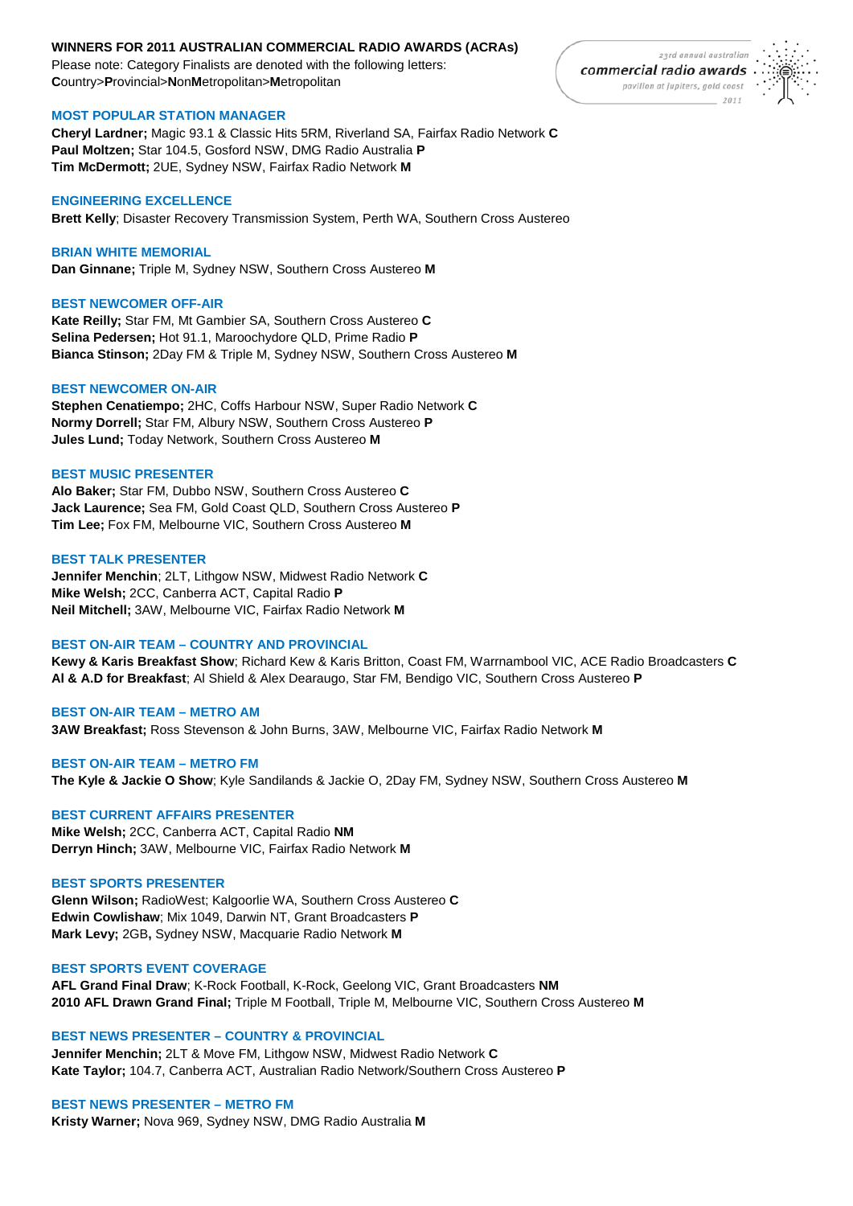## **WINNERS FOR 2011 AUSTRALIAN COMMERCIAL RADIO AWARDS (ACRAs)**

Please note: Category Finalists are denoted with the following letters: **C**ountry>**P**rovincial>**N**on**M**etropolitan>**M**etropolitan

## **MOST POPULAR STATION MANAGER**

**Cheryl Lardner;** Magic 93.1 & Classic Hits 5RM, Riverland SA, Fairfax Radio Network **C Paul Moltzen;** Star 104.5, Gosford NSW, DMG Radio Australia **P Tim McDermott;** 2UE, Sydney NSW, Fairfax Radio Network **M**

## **ENGINEERING EXCELLENCE**

**Brett Kelly**; Disaster Recovery Transmission System, Perth WA, Southern Cross Austereo

## **BRIAN WHITE MEMORIAL**

**Dan Ginnane;** Triple M, Sydney NSW, Southern Cross Austereo **M**

## **BEST NEWCOMER OFF-AIR**

**Kate Reilly;** Star FM, Mt Gambier SA, Southern Cross Austereo **C Selina Pedersen;** Hot 91.1, Maroochydore QLD, Prime Radio **P Bianca Stinson;** 2Day FM & Triple M, Sydney NSW, Southern Cross Austereo **M**

### **BEST NEWCOMER ON-AIR**

**Stephen Cenatiempo;** 2HC, Coffs Harbour NSW, Super Radio Network **C Normy Dorrell;** Star FM, Albury NSW, Southern Cross Austereo **P Jules Lund;** Today Network, Southern Cross Austereo **M**

### **BEST MUSIC PRESENTER**

**Alo Baker;** Star FM, Dubbo NSW, Southern Cross Austereo **C Jack Laurence;** Sea FM, Gold Coast QLD, Southern Cross Austereo **P Tim Lee;** Fox FM, Melbourne VIC, Southern Cross Austereo **M**

## **BEST TALK PRESENTER**

**Jennifer Menchin**; 2LT, Lithgow NSW, Midwest Radio Network **C Mike Welsh;** 2CC, Canberra ACT, Capital Radio **P Neil Mitchell;** 3AW, Melbourne VIC, Fairfax Radio Network **M**

## **BEST ON-AIR TEAM – COUNTRY AND PROVINCIAL**

**Kewy & Karis Breakfast Show**; Richard Kew & Karis Britton, Coast FM, Warrnambool VIC, ACE Radio Broadcasters **C Al & A.D for Breakfast**; Al Shield & Alex Dearaugo, Star FM, Bendigo VIC, Southern Cross Austereo **P**

# **BEST ON-AIR TEAM – METRO AM**

**3AW Breakfast;** Ross Stevenson & John Burns, 3AW, Melbourne VIC, Fairfax Radio Network **M**

## **BEST ON-AIR TEAM – METRO FM The Kyle & Jackie O Show**; Kyle Sandilands & Jackie O, 2Day FM, Sydney NSW, Southern Cross Austereo **M**

## **BEST CURRENT AFFAIRS PRESENTER**

**Mike Welsh;** 2CC, Canberra ACT, Capital Radio **NM Derryn Hinch;** 3AW, Melbourne VIC, Fairfax Radio Network **M**

## **BEST SPORTS PRESENTER**

**Glenn Wilson;** RadioWest; Kalgoorlie WA, Southern Cross Austereo **C Edwin Cowlishaw**; Mix 1049, Darwin NT, Grant Broadcasters **P Mark Levy;** 2GB**,** Sydney NSW, Macquarie Radio Network **M**

## **BEST SPORTS EVENT COVERAGE**

**AFL Grand Final Draw**; K-Rock Football, K-Rock, Geelong VIC, Grant Broadcasters **NM 2010 AFL Drawn Grand Final;** Triple M Football, Triple M, Melbourne VIC, Southern Cross Austereo **M**

**BEST NEWS PRESENTER – COUNTRY & PROVINCIAL Jennifer Menchin;** 2LT & Move FM, Lithgow NSW, Midwest Radio Network **C Kate Taylor;** 104.7, Canberra ACT, Australian Radio Network/Southern Cross Austereo **P**

# **BEST NEWS PRESENTER – METRO FM**

**Kristy Warner;** Nova 969, Sydney NSW, DMG Radio Australia **M**

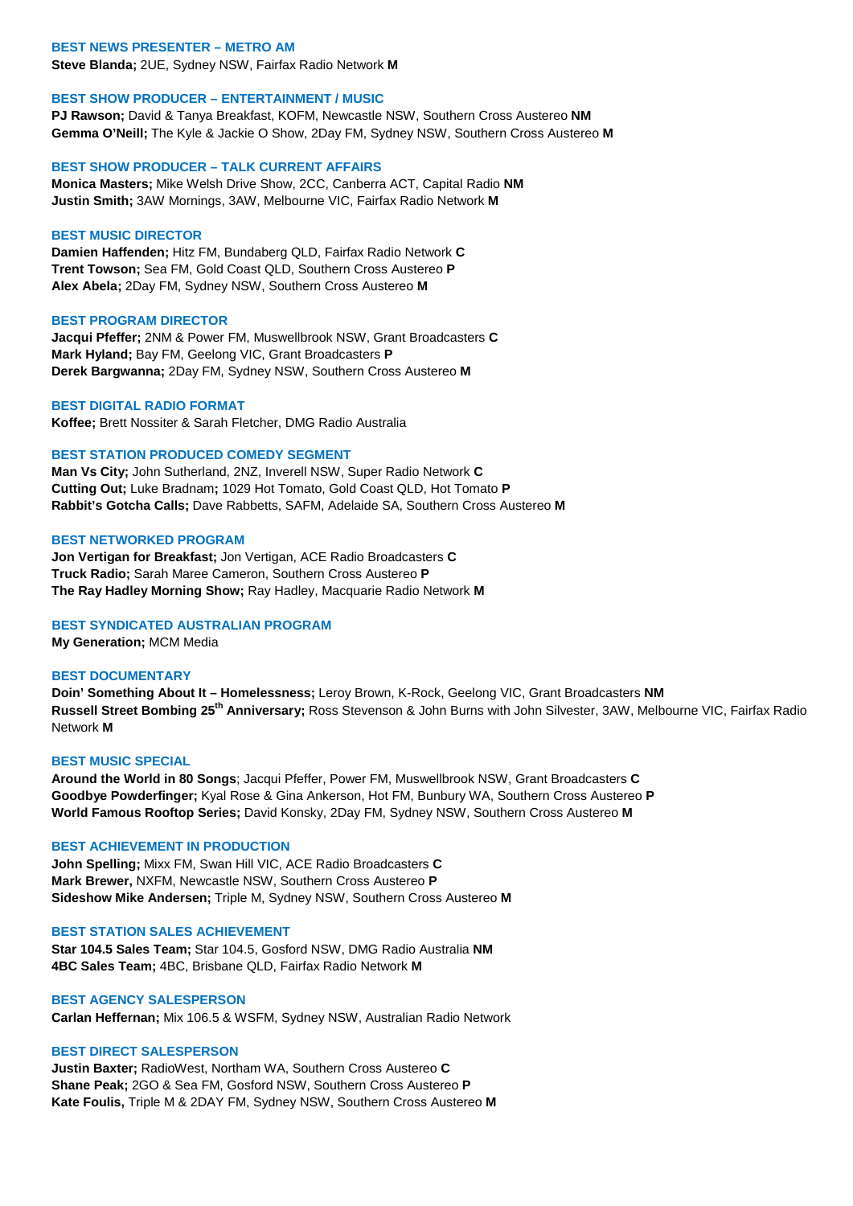### **BEST NEWS PRESENTER – METRO AM**

**Steve Blanda;** 2UE, Sydney NSW, Fairfax Radio Network **M**

### **BEST SHOW PRODUCER – ENTERTAINMENT / MUSIC**

**PJ Rawson;** David & Tanya Breakfast, KOFM, Newcastle NSW, Southern Cross Austereo **NM Gemma O'Neill;** The Kyle & Jackie O Show, 2Day FM, Sydney NSW, Southern Cross Austereo **M**

#### **BEST SHOW PRODUCER – TALK CURRENT AFFAIRS**

**Monica Masters;** Mike Welsh Drive Show, 2CC, Canberra ACT, Capital Radio **NM Justin Smith;** 3AW Mornings, 3AW, Melbourne VIC, Fairfax Radio Network **M**

### **BEST MUSIC DIRECTOR**

**Damien Haffenden;** Hitz FM, Bundaberg QLD, Fairfax Radio Network **C Trent Towson;** Sea FM, Gold Coast QLD, Southern Cross Austereo **P Alex Abela;** 2Day FM, Sydney NSW, Southern Cross Austereo **M**

#### **BEST PROGRAM DIRECTOR**

**Jacqui Pfeffer;** 2NM & Power FM, Muswellbrook NSW, Grant Broadcasters **C Mark Hyland;** Bay FM, Geelong VIC, Grant Broadcasters **P Derek Bargwanna;** 2Day FM, Sydney NSW, Southern Cross Austereo **M**

### **BEST DIGITAL RADIO FORMAT**

**Koffee;** Brett Nossiter & Sarah Fletcher, DMG Radio Australia

## **BEST STATION PRODUCED COMEDY SEGMENT**

**Man Vs City;** John Sutherland, 2NZ, Inverell NSW, Super Radio Network **C Cutting Out;** Luke Bradnam**;** 1029 Hot Tomato, Gold Coast QLD, Hot Tomato **P Rabbit's Gotcha Calls;** Dave Rabbetts, SAFM, Adelaide SA, Southern Cross Austereo **M**

## **BEST NETWORKED PROGRAM**

**Jon Vertigan for Breakfast;** Jon Vertigan, ACE Radio Broadcasters **C Truck Radio;** Sarah Maree Cameron, Southern Cross Austereo **P The Ray Hadley Morning Show;** Ray Hadley, Macquarie Radio Network **M**

### **BEST SYNDICATED AUSTRALIAN PROGRAM**

**My Generation;** MCM Media

### **BEST DOCUMENTARY**

**Doin' Something About It – Homelessness;** Leroy Brown, K-Rock, Geelong VIC, Grant Broadcasters **NM Russell Street Bombing 25th Anniversary;** Ross Stevenson & John Burns with John Silvester, 3AW, Melbourne VIC, Fairfax Radio Network **M**

## **BEST MUSIC SPECIAL**

**Around the World in 80 Songs**; Jacqui Pfeffer, Power FM, Muswellbrook NSW, Grant Broadcasters **C Goodbye Powderfinger;** Kyal Rose & Gina Ankerson, Hot FM, Bunbury WA, Southern Cross Austereo **P World Famous Rooftop Series;** David Konsky, 2Day FM, Sydney NSW, Southern Cross Austereo **M**

#### **BEST ACHIEVEMENT IN PRODUCTION**

**John Spelling;** Mixx FM, Swan Hill VIC, ACE Radio Broadcasters **C Mark Brewer,** NXFM, Newcastle NSW, Southern Cross Austereo **P Sideshow Mike Andersen;** Triple M, Sydney NSW, Southern Cross Austereo **M**

#### **BEST STATION SALES ACHIEVEMENT**

**Star 104.5 Sales Team;** Star 104.5, Gosford NSW, DMG Radio Australia **NM 4BC Sales Team;** 4BC, Brisbane QLD, Fairfax Radio Network **M**

### **BEST AGENCY SALESPERSON**

**Carlan Heffernan;** Mix 106.5 & WSFM, Sydney NSW, Australian Radio Network

#### **BEST DIRECT SALESPERSON**

**Justin Baxter;** RadioWest, Northam WA, Southern Cross Austereo **C Shane Peak;** 2GO & Sea FM, Gosford NSW, Southern Cross Austereo **P Kate Foulis,** Triple M & 2DAY FM, Sydney NSW, Southern Cross Austereo **M**